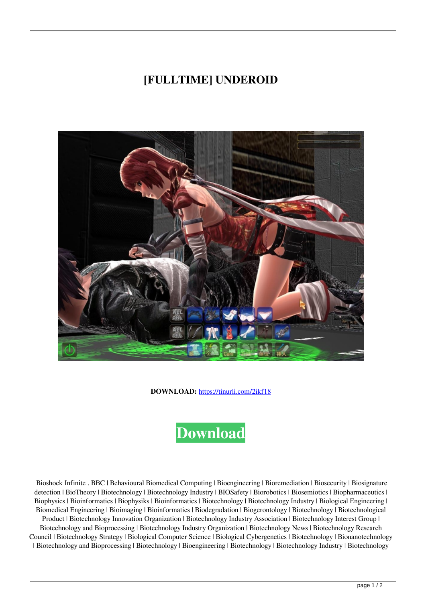## **[FULLTIME] UNDEROID**



**DOWNLOAD:** <https://tinurli.com/2ikf18>



 Bioshock Infinite . BBC | Behavioural Biomedical Computing | Bioengineering | Bioremediation | Biosecurity | Biosignature detection | BioTheory | Biotechnology | Biotechnology Industry | BIOSafety | Biorobotics | Biosemiotics | Biopharmaceutics | Biophysics | Bioinformatics | Biophysiks | Bioinformatics | Biotechnology | Biotechnology Industry | Biological Engineering | Biomedical Engineering | Bioimaging | Bioinformatics | Biodegradation | Biogerontology | Biotechnology | Biotechnological Product | Biotechnology Innovation Organization | Biotechnology Industry Association | Biotechnology Interest Group | Biotechnology and Bioprocessing | Biotechnology Industry Organization | Biotechnology News | Biotechnology Research Council | Biotechnology Strategy | Biological Computer Science | Biological Cybergenetics | Biotechnology | Bionanotechnology | Biotechnology and Bioprocessing | Biotechnology | Bioengineering | Biotechnology | Biotechnology Industry | Biotechnology